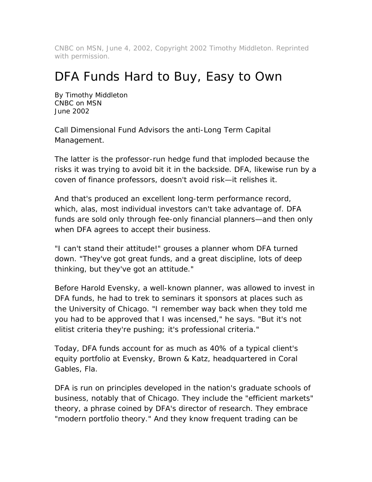CNBC on MSN, June 4, 2002, Copyright 2002 Timothy Middleton. Reprinted with permission.

## DFA Funds Hard to Buy, Easy to Own

By Timothy Middleton CNBC on MSN June 2002

Call Dimensional Fund Advisors the anti-Long Term Capital Management.

The latter is the professor-run hedge fund that imploded because the risks it was trying to avoid bit it in the backside. DFA, likewise run by a coven of finance professors, doesn't avoid risk—it relishes it.

And that's produced an excellent long-term performance record, which, alas, most individual investors can't take advantage of. DFA funds are sold only through fee-only financial planners—and then only when DFA agrees to accept their business.

"I can't stand their attitude!" grouses a planner whom DFA turned down. "They've got great funds, and a great discipline, lots of deep thinking, but they've got an attitude."

Before Harold Evensky, a well-known planner, was allowed to invest in DFA funds, he had to trek to seminars it sponsors at places such as the University of Chicago. "I remember way back when they told me you had to be approved that I was incensed," he says. "But it's not elitist criteria they're pushing; it's professional criteria."

Today, DFA funds account for as much as 40% of a typical client's equity portfolio at Evensky, Brown & Katz, headquartered in Coral Gables, Fla.

DFA is run on principles developed in the nation's graduate schools of business, notably that of Chicago. They include the "efficient markets" theory, a phrase coined by DFA's director of research. They embrace "modern portfolio theory." And they know frequent trading can be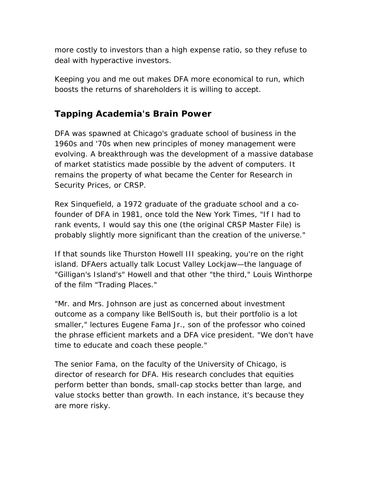more costly to investors than a high expense ratio, so they refuse to deal with hyperactive investors.

Keeping you and me out makes DFA more economical to run, which boosts the returns of shareholders it is willing to accept.

## **Tapping Academia's Brain Power**

DFA was spawned at Chicago's graduate school of business in the 1960s and '70s when new principles of money management were evolving. A breakthrough was the development of a massive database of market statistics made possible by the advent of computers. It remains the property of what became the Center for Research in Security Prices, or CRSP.

Rex Sinquefield, a 1972 graduate of the graduate school and a cofounder of DFA in 1981, once told the New York Times, "If I had to rank events, I would say this one (the original CRSP Master File) is probably slightly more significant than the creation of the universe."

If that sounds like Thurston Howell III speaking, you're on the right island. DFAers actually talk Locust Valley Lockjaw—the language of "Gilligan's Island's" Howell and that other "the third," Louis Winthorpe of the film "Trading Places."

"Mr. and Mrs. Johnson are just as concerned about investment outcome as a company like BellSouth is, but their portfolio is a lot smaller," lectures Eugene Fama Jr., son of the professor who coined the phrase efficient markets and a DFA vice president. "We don't have time to educate and coach these people."

The senior Fama, on the faculty of the University of Chicago, is director of research for DFA. His research concludes that equities perform better than bonds, small-cap stocks better than large, and value stocks better than growth. In each instance, it's because they are more risky.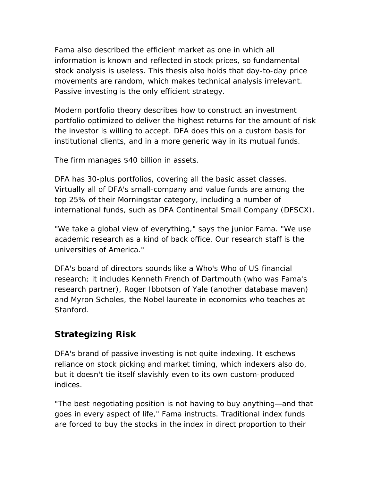Fama also described the efficient market as one in which all information is known and reflected in stock prices, so fundamental stock analysis is useless. This thesis also holds that day-to-day price movements are random, which makes technical analysis irrelevant. Passive investing is the only efficient strategy.

Modern portfolio theory describes how to construct an investment portfolio optimized to deliver the highest returns for the amount of risk the investor is willing to accept. DFA does this on a custom basis for institutional clients, and in a more generic way in its mutual funds.

The firm manages \$40 billion in assets.

DFA has 30-plus portfolios, covering all the basic asset classes. Virtually all of DFA's small-company and value funds are among the top 25% of their Morningstar category, including a number of international funds, such as DFA Continental Small Company (DFSCX).

"We take a global view of everything," says the junior Fama. "We use academic research as a kind of back office. Our research staff is the universities of America."

DFA's board of directors sounds like a Who's Who of US financial research; it includes Kenneth French of Dartmouth (who was Fama's research partner), Roger Ibbotson of Yale (another database maven) and Myron Scholes, the Nobel laureate in economics who teaches at Stanford.

## **Strategizing Risk**

DFA's brand of passive investing is not quite indexing. It eschews reliance on stock picking and market timing, which indexers also do, but it doesn't tie itself slavishly even to its own custom-produced indices.

"The best negotiating position is not having to buy anything—and that goes in every aspect of life," Fama instructs. Traditional index funds are forced to buy the stocks in the index in direct proportion to their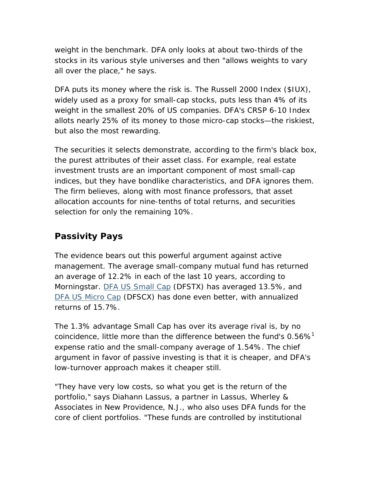weight in the benchmark. DFA only looks at about two-thirds of the stocks in its various style universes and then "allows weights to vary all over the place," he says.

DFA puts its money where the risk is. The Russell 2000 Index (\$IUX), widely used as a proxy for small-cap stocks, puts less than 4% of its weight in the smallest 20% of US companies. DFA's CRSP 6-10 Index allots nearly 25% of its money to those micro-cap stocks—the riskiest, but also the most rewarding.

The securities it selects demonstrate, according to the firm's black box, the purest attributes of their asset class. For example, real estate investment trusts are an important component of most small-cap indices, but they have bondlike characteristics, and DFA ignores them. The firm believes, along with most finance professors, that asset allocation accounts for nine-tenths of total returns, and securities selection for only the remaining 10%.

## **Passivity Pays**

The evidence bears out this powerful argument against active management. The average small-company mutual fund has returned an average of 12.2% in each of the last 10 years, according to Morningstar. DFA US Small Cap (DFSTX) has averaged 13.5%, and DFA US Micro Cap (DFSCX) has done even better, with annualized returns of 15.7%.

The 1.3% advantage Small Cap has over its average rival is, by no coincidence, little more than the difference between the fund's  $0.56\%$ <sup>1</sup> expense ratio and the small-company average of 1.54%. The chief argument in favor of passive investing is that it is cheaper, and DFA's low-turnover approach makes it cheaper still.

"They have very low costs, so what you get is the return of the portfolio," says Diahann Lassus, a partner in Lassus, Wherley & Associates in New Providence, N.J., who also uses DFA funds for the core of client portfolios. "These funds are controlled by institutional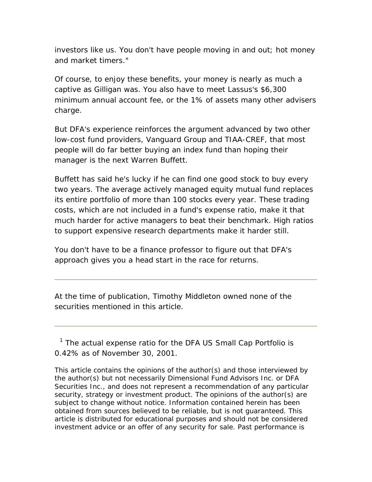investors like us. You don't have people moving in and out; hot money and market timers."

Of course, to enjoy these benefits, your money is nearly as much a captive as Gilligan was. You also have to meet Lassus's \$6,300 minimum annual account fee, or the 1% of assets many other advisers charge.

But DFA's experience reinforces the argument advanced by two other low-cost fund providers, Vanguard Group and TIAA-CREF, that most people will do far better buying an index fund than hoping their manager is the next Warren Buffett.

Buffett has said he's lucky if he can find one good stock to buy every two years. The average actively managed equity mutual fund replaces its entire portfolio of more than 100 stocks every year. These trading costs, which are not included in a fund's expense ratio, make it that much harder for active managers to beat their benchmark. High ratios to support expensive research departments make it harder still.

You don't have to be a finance professor to figure out that DFA's approach gives you a head start in the race for returns.

At the time of publication, Timothy Middleton owned none of the securities mentioned in this article.

<sup>1</sup> The actual expense ratio for the DFA US Small Cap Portfolio is 0.42% as of November 30, 2001.

This article contains the opinions of the author(s) and those interviewed by the author(s) but not necessarily Dimensional Fund Advisors Inc. or DFA Securities Inc., and does not represent a recommendation of any particular security, strategy or investment product. The opinions of the author(s) are subject to change without notice. Information contained herein has been obtained from sources believed to be reliable, but is not guaranteed. This article is distributed for educational purposes and should not be considered investment advice or an offer of any security for sale. Past performance is